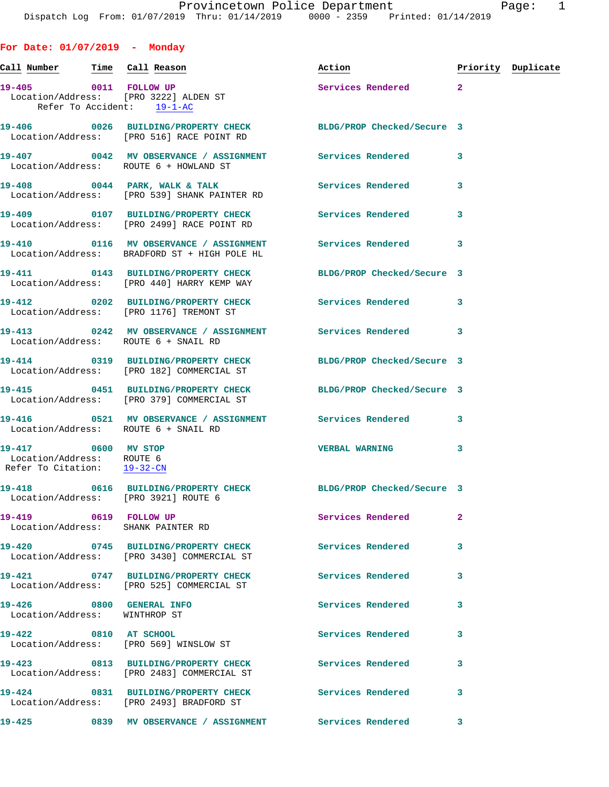## Call Number Time Call Reason **Reason Action Action** Priority Duplicate 19-405 0011 FOLLOW UP Services Rendered 2 Location/Address: [PRO 3222] ALDEN ST<br>Refer To Accident: 19-1-AC Refer To Accident: **19-406 0026 BUILDING/PROPERTY CHECK BLDG/PROP Checked/Secure 3**  Location/Address: [P

Location/Address: [PRO 539] SHANK PAINTER RD

**For Date: 01/07/2019 - Monday**

Location/Address: [PRO 182] COMMERCIAL ST

Location/Address: ROUTE 6 + SNAIL RD

 Location/Address: ROUTE 6 Refer To Citation: 19-32-CN

Location/Address: WINTHROP ST

Location/Address: [PRO 569] WINSLOW ST

| 19-406                        | 0026 | BUILDING/PROPERTY CHECK<br>Location/Address: [PRO 516] RACE POINT RD | BLDG/PROP Checked/Secure 3 |   |
|-------------------------------|------|----------------------------------------------------------------------|----------------------------|---|
| 19-407                        | 0042 | MV OBSERVANCE / ASSIGNMENT<br>Location/Address: ROUTE 6 + HOWLAND ST | Services Rendered          | 3 |
| $19 - 408$<br>$T = 225 + 328$ | 0044 | PARK, WALK & TALK<br>חת תהיחיוודוגת איוויות במכם מתח                 | Services Rendered          | 3 |

**19-409 0107 BUILDING/PROPERTY CHECK Services Rendered 3**  Location/Address: [PRO 2499] RACE POINT RD

Location/Address: BRADFORD ST + HIGH POLE HL

Location/Address: [PRO 440] HARRY KEMP WAY

Location/Address: [PRO 1176] TREMONT ST

**19-413 0242 MV OBSERVANCE / ASSIGNMENT Services Rendered 3**  Location/Address: ROUTE 6 + SNAIL RD

**19-414 0319 BUILDING/PROPERTY CHECK BLDG/PROP Checked/Secure 3** 

**19-415 0451 BUILDING/PROPERTY CHECK BLDG/PROP Checked/Secure 3**  Location/Address: [PRO 379] COMMERCIAL ST

**19-416 0521 MV OBSERVANCE / ASSIGNMENT Services Rendered 3** 

Location/Address: [PRO 3921] ROUTE 6

Location/Address: SHANK PAINTER RD

**19-420 0745 BUILDING/PROPERTY CHECK Services Rendered 3**  Location/Address: [PRO 3430] COMMERCIAL ST

Location/Address: [PRO 525] COMMERCIAL ST

Location/Address: [PRO 2483] COMMERCIAL ST

Location/Address: [PRO 2493] BRADFORD ST

**19-425 0839 MV OBSERVANCE / ASSIGNMENT Services Rendered 3** 

**19-410 0116 MV OBSERVANCE / ASSIGNMENT Services Rendered 3** 

**19-411 0143 BUILDING/PROPERTY CHECK BLDG/PROP Checked/Secure 3** 

**19-412 0202 BUILDING/PROPERTY CHECK Services Rendered 3** 

**19-417 0600 MV STOP VERBAL WARNING 3** 

**19-418 0616 BUILDING/PROPERTY CHECK BLDG/PROP Checked/Secure 3** 

**19-419 0619 FOLLOW UP Services Rendered 2** 

**19-421 0747 BUILDING/PROPERTY CHECK Services Rendered 3** 

**19-426 0800 GENERAL INFO Services Rendered 3** 

**19-422 0810 AT SCHOOL Services Rendered 3** 

**19-423 0813 BUILDING/PROPERTY CHECK Services Rendered 3** 

**19-424 0831 BUILDING/PROPERTY CHECK Services Rendered 3**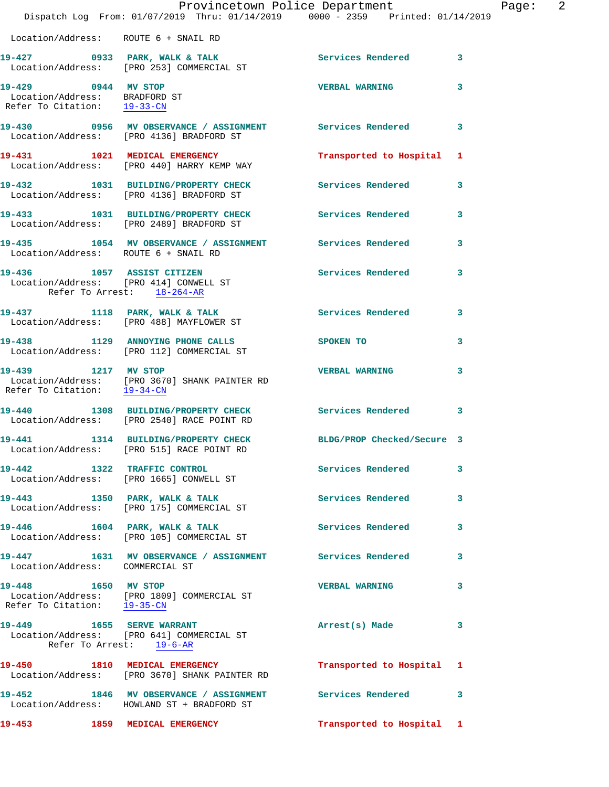|                                                                                     | Provincetown Police Department<br>Dispatch Log From: 01/07/2019 Thru: 01/14/2019 0000 - 2359 Printed: 01/14/2019 |                            |              |
|-------------------------------------------------------------------------------------|------------------------------------------------------------------------------------------------------------------|----------------------------|--------------|
| Location/Address: ROUTE 6 + SNAIL RD                                                |                                                                                                                  |                            |              |
|                                                                                     |                                                                                                                  | Services Rendered 3        |              |
| 19-429 0944 MV STOP<br>Location/Address: BRADFORD ST<br>Refer To Citation: 19-33-CN |                                                                                                                  | <b>VERBAL WARNING</b>      | 3            |
|                                                                                     | 19-430 0956 MV OBSERVANCE / ASSIGNMENT Services Rendered<br>Location/Address: [PRO 4136] BRADFORD ST             |                            | 3            |
|                                                                                     | 19-431 1021 MEDICAL EMERGENCY<br>Location/Address: [PRO 440] HARRY KEMP WAY                                      | Transported to Hospital    | $\mathbf{1}$ |
|                                                                                     | 19-432 1031 BUILDING/PROPERTY CHECK<br>Location/Address: [PRO 4136] BRADFORD ST                                  | Services Rendered          | 3            |
|                                                                                     | 19-433 1031 BUILDING/PROPERTY CHECK<br>Location/Address: [PRO 2489] BRADFORD ST                                  | Services Rendered          | 3            |
| Location/Address: ROUTE 6 + SNAIL RD                                                | 19-435 1054 MV OBSERVANCE / ASSIGNMENT Services Rendered                                                         |                            | 3            |
| Location/Address: [PRO 414] CONWELL ST<br>Refer To Arrest: 18-264-AR                | 19-436 1057 ASSIST CITIZEN                                                                                       | <b>Services Rendered</b>   | 3            |
|                                                                                     | 19-437 1118 PARK, WALK & TALK<br>Location/Address: [PRO 488] MAYFLOWER ST                                        | Services Rendered          | 3            |
|                                                                                     | 19-438 1129 ANNOYING PHONE CALLS<br>Location/Address: [PRO 112] COMMERCIAL ST                                    | SPOKEN TO                  | 3            |
| 19-439 1217 MV STOP<br>Refer To Citation: 19-34-CN                                  | Location/Address: [PRO 3670] SHANK PAINTER RD                                                                    | <b>VERBAL WARNING</b>      | 3            |
| 19-440                                                                              | 1308 BUILDING/PROPERTY CHECK Services Rendered 3<br>Location/Address: [PRO 2540] RACE POINT RD                   |                            |              |
| 19-441<br>1314                                                                      | <b>BUILDING/PROPERTY CHECK</b><br>Location/Address: [PRO 515] RACE POINT RD                                      | BLDG/PROP Checked/Secure 3 |              |
|                                                                                     | 19-442 1322 TRAFFIC CONTROL<br>Location/Address: [PRO 1665] CONWELL ST                                           | Services Rendered          | 3            |
|                                                                                     | 19-443 1350 PARK, WALK & TALK<br>Location/Address: [PRO 175] COMMERCIAL ST                                       | Services Rendered          | 3            |
|                                                                                     | 19-446 1604 PARK, WALK & TALK<br>Location/Address: [PRO 105] COMMERCIAL ST                                       | Services Rendered          | 3            |
| Location/Address: COMMERCIAL ST                                                     | 19-447 1631 MV OBSERVANCE / ASSIGNMENT Services Rendered                                                         |                            | 3            |
| 19-448 1650 MV STOP<br>Refer To Citation: 19-35-CN                                  | Location/Address: [PRO 1809] COMMERCIAL ST                                                                       | <b>VERBAL WARNING</b>      | 3            |
| Refer To Arrest: 19-6-AR                                                            | 19-449 1655 SERVE WARRANT<br>Location/Address: [PRO 641] COMMERCIAL ST                                           | Arrest(s) Made             | 3            |
|                                                                                     | 19-450 1810 MEDICAL EMERGENCY<br>Location/Address: [PRO 3670] SHANK PAINTER RD                                   | Transported to Hospital 1  |              |
|                                                                                     | 19-452 1846 MV OBSERVANCE / ASSIGNMENT Services Rendered<br>Location/Address: HOWLAND ST + BRADFORD ST           |                            | 3            |
| 19-453                                                                              | 1859 MEDICAL EMERGENCY                                                                                           | Transported to Hospital 1  |              |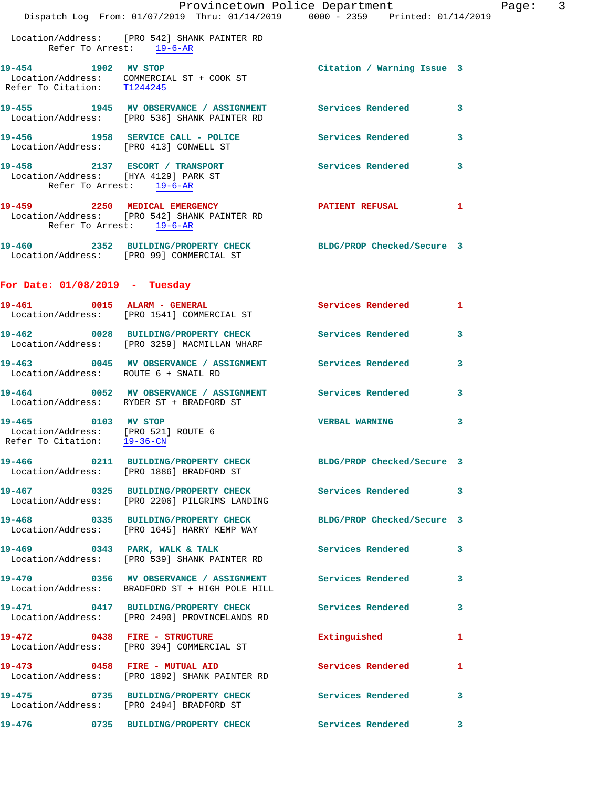|                                                                                           | Provincetown Police Department<br>Dispatch Log From: 01/07/2019 Thru: 01/14/2019 0000 - 2359 Printed: 01/14/2019           |                            |   |
|-------------------------------------------------------------------------------------------|----------------------------------------------------------------------------------------------------------------------------|----------------------------|---|
| Refer To Arrest: 19-6-AR                                                                  | Location/Address: [PRO 542] SHANK PAINTER RD                                                                               |                            |   |
| 19-454 1902 MV STOP<br>Refer To Citation: T1244245                                        | Location/Address: COMMERCIAL ST + COOK ST                                                                                  | Citation / Warning Issue 3 |   |
|                                                                                           | 19-455 1945 MV OBSERVANCE / ASSIGNMENT Services Rendered<br>Location/Address: [PRO 536] SHANK PAINTER RD                   |                            | 3 |
| Location/Address: [PRO 413] CONWELL ST                                                    | 19-456 1958 SERVICE CALL - POLICE Services Rendered                                                                        |                            | 3 |
| Location/Address: [HYA 4129] PARK ST<br>Refer To Arrest: 19-6-AR                          | 19-458 2137 ESCORT / TRANSPORT Services Rendered                                                                           |                            | 3 |
| Refer To Arrest: 19-6-AR                                                                  | 19-459 2250 MEDICAL EMERGENCY<br>Location/Address: [PRO 542] SHANK PAINTER RD                                              | <b>PATIENT REFUSAL</b>     | 1 |
|                                                                                           | 19-460 2352 BUILDING/PROPERTY CHECK BLDG/PROP Checked/Secure 3<br>Location/Address: [PRO 99] COMMERCIAL ST                 |                            |   |
| For Date: $01/08/2019$ - Tuesday                                                          |                                                                                                                            |                            |   |
|                                                                                           | 19-461 0015 ALARM - GENERAL<br>Location/Address: [PRO 1541] COMMERCIAL ST                                                  | <b>Services Rendered</b>   | 1 |
|                                                                                           | 19-462 0028 BUILDING/PROPERTY CHECK Services Rendered<br>Location/Address: [PRO 3259] MACMILLAN WHARF                      |                            | 3 |
| Location/Address: ROUTE 6 + SNAIL RD                                                      | 19-463 0045 MV OBSERVANCE / ASSIGNMENT Services Rendered                                                                   |                            | 3 |
|                                                                                           | 19-464 0052 MV OBSERVANCE / ASSIGNMENT Services Rendered<br>Location/Address: RYDER ST + BRADFORD ST                       |                            | 3 |
| 19-465 0103 MV STOP<br>Location/Address: [PRO 521] ROUTE 6<br>Refer To Citation: 19-36-CN |                                                                                                                            | <b>VERBAL WARNING</b>      | 3 |
|                                                                                           | 19-466        0211   BUILDING/PROPERTY CHECK        BLDG/PROP Checked/Secure 3<br>Location/Address: [PRO 1886] BRADFORD ST |                            |   |
|                                                                                           | 19-467 0325 BUILDING/PROPERTY CHECK<br>Location/Address: [PRO 2206] PILGRIMS LANDING                                       | <b>Services Rendered</b>   | 3 |
|                                                                                           | 19-468 0335 BUILDING/PROPERTY CHECK<br>Location/Address: [PRO 1645] HARRY KEMP WAY                                         | BLDG/PROP Checked/Secure 3 |   |
|                                                                                           | 19-469 0343 PARK, WALK & TALK<br>Location/Address: [PRO 539] SHANK PAINTER RD                                              | <b>Services Rendered</b>   | 3 |
|                                                                                           | 19-470  0356 MV OBSERVANCE / ASSIGNMENT Services Rendered<br>Location/Address: BRADFORD ST + HIGH POLE HILL                |                            | 3 |
|                                                                                           | 19-471 0417 BUILDING/PROPERTY CHECK Services Rendered<br>Location/Address: [PRO 2490] PROVINCELANDS RD                     |                            | 3 |
| 19-472 0438 FIRE - STRUCTURE                                                              | Location/Address: [PRO 394] COMMERCIAL ST                                                                                  | Extinguished               | 1 |
|                                                                                           | 19-473 0458 FIRE - MUTUAL AID<br>Location/Address: [PRO 1892] SHANK PAINTER RD                                             | Services Rendered          | 1 |
|                                                                                           | 19-475 0735 BUILDING/PROPERTY CHECK<br>Location/Address: [PRO 2494] BRADFORD ST                                            | Services Rendered          | 3 |
| 19-476                                                                                    | 0735 BUILDING/PROPERTY CHECK                                                                                               | Services Rendered          | 3 |

Page:  $3$ <br>
Page: 3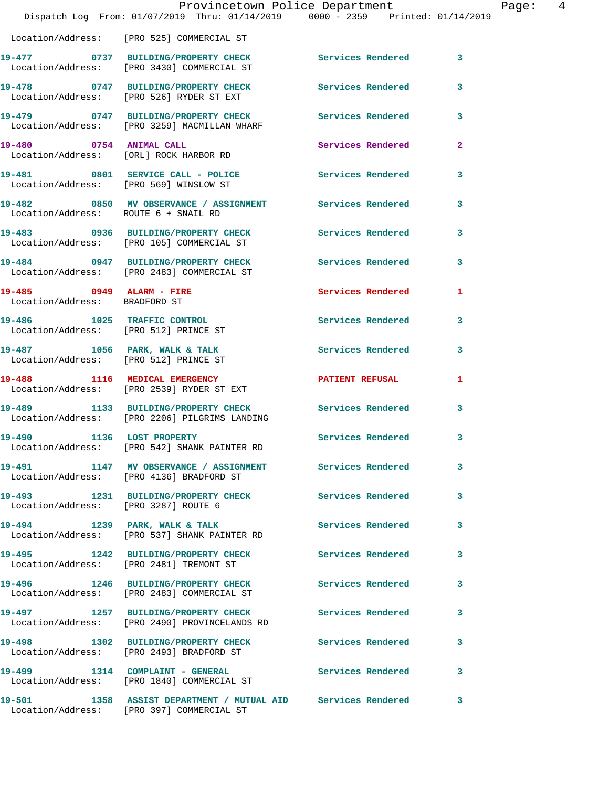|                                                           | Provincetown Police Department<br>Dispatch Log From: 01/07/2019 Thru: 01/14/2019 0000 - 2359 Printed: 01/14/2019 |                          |                |
|-----------------------------------------------------------|------------------------------------------------------------------------------------------------------------------|--------------------------|----------------|
|                                                           | Location/Address: [PRO 525] COMMERCIAL ST                                                                        |                          |                |
|                                                           | 19-477 0737 BUILDING/PROPERTY CHECK Services Rendered<br>Location/Address: [PRO 3430] COMMERCIAL ST              |                          | 3              |
|                                                           | 19-478 0747 BUILDING/PROPERTY CHECK<br>Location/Address: [PRO 526] RYDER ST EXT                                  | Services Rendered        | 3              |
|                                                           | 19-479 0747 BUILDING/PROPERTY CHECK Services Rendered<br>Location/Address: [PRO 3259] MACMILLAN WHARF            |                          | 3              |
| 19-480 0754 ANIMAL CALL                                   | Location/Address: [ORL] ROCK HARBOR RD                                                                           | Services Rendered        | $\overline{a}$ |
|                                                           | 19-481 0801 SERVICE CALL - POLICE<br>Location/Address: [PRO 569] WINSLOW ST                                      | Services Rendered        | 3              |
| Location/Address: ROUTE 6 + SNAIL RD                      | 19-482 0850 MV OBSERVANCE / ASSIGNMENT Services Rendered                                                         |                          | 3              |
|                                                           | 19-483 0936 BUILDING/PROPERTY CHECK Services Rendered<br>Location/Address: [PRO 105] COMMERCIAL ST               |                          | 3              |
|                                                           | 19-484 0947 BUILDING/PROPERTY CHECK Services Rendered<br>Location/Address: [PRO 2483] COMMERCIAL ST              |                          | 3              |
| 19-485 0949 ALARM - FIRE<br>Location/Address: BRADFORD ST |                                                                                                                  | Services Rendered        | 1              |
|                                                           | 19-486 1025 TRAFFIC CONTROL<br>Location/Address: [PRO 512] PRINCE ST                                             | <b>Services Rendered</b> | 3              |
| Location/Address: [PRO 512] PRINCE ST                     | 19-487 1056 PARK, WALK & TALK                                                                                    | Services Rendered        | 3              |
|                                                           | 19-488 1116 MEDICAL EMERGENCY<br>Location/Address: [PRO 2539] RYDER ST EXT                                       | PATIENT REFUSAL          | 1              |
|                                                           | 19-489 1133 BUILDING/PROPERTY CHECK Services Rendered<br>Location/Address: [PRO 2206] PILGRIMS LANDING           |                          | 3              |
|                                                           | 19-490 1136 LOST PROPERTY<br>Location/Address: [PRO 542] SHANK PAINTER RD                                        | <b>Services Rendered</b> |                |
|                                                           | 19-491 1147 MV OBSERVANCE / ASSIGNMENT Services Rendered<br>Location/Address: [PRO 4136] BRADFORD ST             |                          | 3              |
| Location/Address: [PRO 3287] ROUTE 6                      | 19-493 1231 BUILDING/PROPERTY CHECK                                                                              | Services Rendered        | 3              |
|                                                           | 19-494 1239 PARK, WALK & TALK<br>Location/Address: [PRO 537] SHANK PAINTER RD                                    | <b>Services Rendered</b> | 3              |
| $19 - 495$                                                | 1242 BUILDING/PROPERTY CHECK<br>Location/Address: [PRO 2481] TREMONT ST                                          | Services Rendered        | 3              |
|                                                           | 19-496 1246 BUILDING/PROPERTY CHECK<br>Location/Address: [PRO 2483] COMMERCIAL ST                                | <b>Services Rendered</b> | 3              |
| 19-497                                                    | 1257 BUILDING/PROPERTY CHECK<br>Location/Address: [PRO 2490] PROVINCELANDS RD                                    | Services Rendered        | 3              |
|                                                           | 19-498 1302 BUILDING/PROPERTY CHECK<br>Location/Address: [PRO 2493] BRADFORD ST                                  | Services Rendered        | 3              |
|                                                           | 19-499 1314 COMPLAINT - GENERAL<br>Location/Address: [PRO 1840] COMMERCIAL ST                                    | Services Rendered        | 3              |
|                                                           | 19-501 1358 ASSIST DEPARTMENT / MUTUAL AID Services Rendered                                                     |                          | 3              |

Location/Address: [PRO 397] COMMERCIAL ST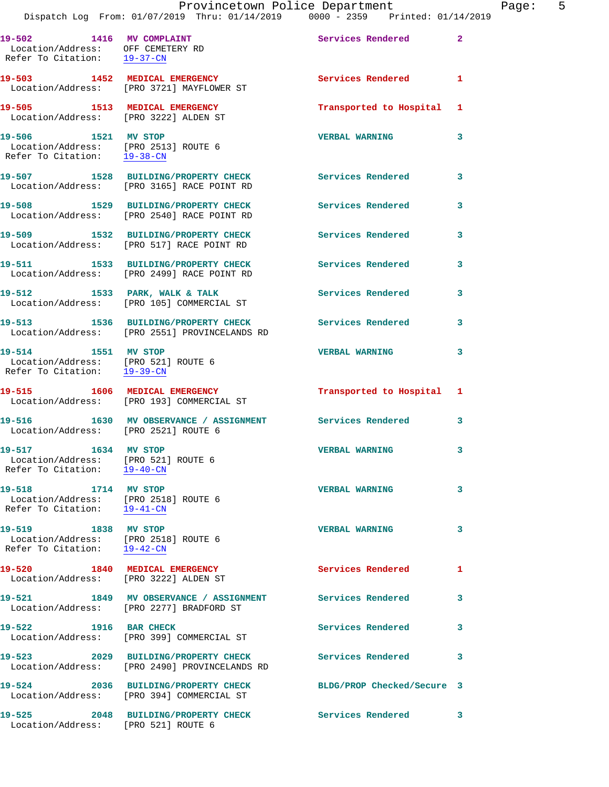Dispatch Log From: 01/07/2019 Thru: 01/14/2019 0000 - 2359 Printed: 01/14/2019 19-502 1416 MV COMPLAINT **19-502** Services Rendered 2 Location/Address: OFF CEMETERY RD Refer To Citation: 19-37-CN **19-503 1452 MEDICAL EMERGENCY Services Rendered 1**  Location/Address: [PRO 3721] MAYFLOWER ST **19-505 1513 MEDICAL EMERGENCY Transported to Hospital 1**  Location/Address: [PRO 3222] ALDEN ST **19-506 1521 MV STOP VERBAL WARNING 3**  Location/Address: [PRO 2513] ROUTE 6 Refer To Citation: 19-38-CN **19-507 1528 BUILDING/PROPERTY CHECK Services Rendered 3**  Location/Address: [PRO 3165] RACE POINT RD **19-508 1529 BUILDING/PROPERTY CHECK Services Rendered 3**  Location/Address: [PRO 2540] RACE POINT RD **19-509 1532 BUILDING/PROPERTY CHECK Services Rendered 3**  Location/Address: [PRO 517] RACE POINT RD **19-511 1533 BUILDING/PROPERTY CHECK Services Rendered 3**  Location/Address: [PRO 2499] RACE POINT RD 19-512 1533 PARK, WALK & TALK 3 Services Rendered 3 Location/Address: [PRO 105] COMMERCIAL ST **19-513 1536 BUILDING/PROPERTY CHECK Services Rendered 3**  Location/Address: [PRO 2551] PROVINCELANDS RD **19-514 1551 MV STOP VERBAL WARNING 3**  Location/Address: [PRO 521] ROUTE 6 Refer To Citation: 19-39-CN **19-515 1606 MEDICAL EMERGENCY Transported to Hospital 1**  Location/Address: [PRO 193] COMMERCIAL ST **19-516 1630 MV OBSERVANCE / ASSIGNMENT Services Rendered 3**  Location/Address: [PRO 2521] ROUTE 6 **19-517 1634 MV STOP VERBAL WARNING 3**  Location/Address: [PRO 521] ROUTE 6 Refer To Citation: 19-40-CN **19-518 1714 MV STOP VERBAL WARNING 3**  Location/Address: [PRO 2518] ROUTE 6 Refer To Citation: 19-41-CN **19-519 1838 MV STOP VERBAL WARNING 3**  Location/Address: [PRO 2518] ROUTE 6 Refer To Citation: 19-42-CN **19-520 1840 MEDICAL EMERGENCY Services Rendered 1**  Location/Address: [PRO 3222] ALDEN ST **19-521 1849 MV OBSERVANCE / ASSIGNMENT Services Rendered 3**  Location/Address: [PRO 2277] BRADFORD ST 19-522 1916 BAR CHECK Services Rendered 3 Location/Address: [PRO 399] COMMERCIAL ST **19-523 2029 BUILDING/PROPERTY CHECK Services Rendered 3**  Location/Address: [PRO 2490] PROVINCELANDS RD **19-524 2036 BUILDING/PROPERTY CHECK BLDG/PROP Checked/Secure 3**  Location/Address: [PRO 394] COMMERCIAL ST **19-525 2048 BUILDING/PROPERTY CHECK Services Rendered 3**  Location/Address: [PRO 521] ROUTE 6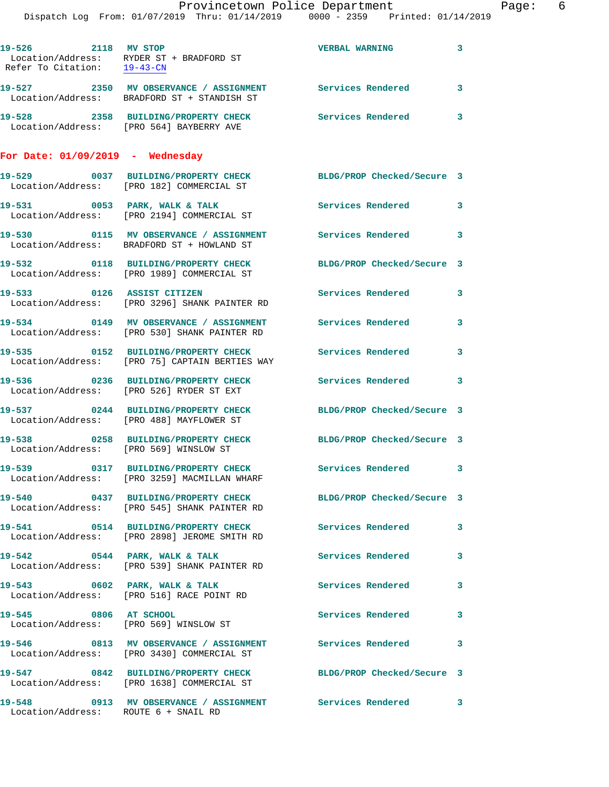|                                                    | Dispatch Log From: 01/07/2019 Thru: 01/14/2019 0000 - 2359 Printed: 01/14/2019                                 | Provincetown Police Department | Page: 6      |
|----------------------------------------------------|----------------------------------------------------------------------------------------------------------------|--------------------------------|--------------|
| 19-526 2118 MV STOP<br>Refer To Citation: 19-43-CN | Location/Address: RYDER ST + BRADFORD ST                                                                       | VERBAL WARNING 3               |              |
|                                                    | 19-527 2350 MV OBSERVANCE / ASSIGNMENT Services Rendered<br>Location/Address: BRADFORD ST + STANDISH ST        |                                | $\mathbf{3}$ |
|                                                    | 19-528 2358 BUILDING/PROPERTY CHECK Services Rendered 3<br>Location/Address: [PRO 564] BAYBERRY AVE            |                                |              |
| For Date: $01/09/2019$ - Wednesday                 |                                                                                                                |                                |              |
|                                                    | 19-529 0037 BUILDING/PROPERTY CHECK BLDG/PROP Checked/Secure 3<br>Location/Address: [PRO 182] COMMERCIAL ST    |                                |              |
|                                                    | 19-531 0053 PARK, WALK & TALK<br>Location/Address: [PRO 2194] COMMERCIAL ST                                    | Services Rendered 3            |              |
|                                                    | 19-530 0115 MV OBSERVANCE / ASSIGNMENT Services Rendered 3<br>Location/Address: BRADFORD ST + HOWLAND ST       |                                |              |
|                                                    | 19-532 0118 BUILDING/PROPERTY CHECK<br>Location/Address: [PRO 1989] COMMERCIAL ST                              | BLDG/PROP Checked/Secure 3     |              |
| 19-533 0126 ASSIST CITIZEN                         | Location/Address: [PRO 3296] SHANK PAINTER RD                                                                  | Services Rendered              | $\mathbf{3}$ |
|                                                    | 19-534 0149 MV OBSERVANCE / ASSIGNMENT Services Rendered<br>Location/Address: [PRO 530] SHANK PAINTER RD       |                                | $\mathbf{3}$ |
|                                                    | 19-535 0152 BUILDING/PROPERTY CHECK Services Rendered<br>Location/Address: [PRO 75] CAPTAIN BERTIES WAY        |                                | $\mathbf{3}$ |
|                                                    | 19-536 0236 BUILDING/PROPERTY CHECK Services Rendered 3<br>Location/Address: [PRO 526] RYDER ST EXT            |                                |              |
|                                                    | 19-537 0244 BUILDING/PROPERTY CHECK<br>Location/Address: [PRO 488] MAYFLOWER ST                                | BLDG/PROP Checked/Secure 3     |              |
| Location/Address: [PRO 569] WINSLOW ST             | 19-538 0258 BUILDING/PROPERTY CHECK BLDG/PROP Checked/Secure 3                                                 |                                |              |
|                                                    | 19-539 0317 BUILDING/PROPERTY CHECK Services Rendered 3<br>Location/Address: [PRO 3259] MACMILLAN WHARF        |                                |              |
|                                                    | 19-540 0437 BUILDING/PROPERTY CHECK BLDG/PROP Checked/Secure 3<br>Location/Address: [PRO 545] SHANK PAINTER RD |                                |              |
|                                                    | 19-541 0514 BUILDING/PROPERTY CHECK Services Rendered 3<br>Location/Address: [PRO 2898] JEROME SMITH RD        |                                |              |
|                                                    | $19-542$ 0544 PARK, WALK & TALK<br>Location/Address: [PRO 539] SHANK PAINTER RD                                | Services Rendered 3            |              |
|                                                    | 19-543 0602 PARK, WALK & TALK<br>Location/Address: [PRO 516] RACE POINT RD                                     | <b>Services Rendered</b>       | $\mathbf{3}$ |
| 19-545 0806 AT SCHOOL                              | Location/Address: [PRO 569] WINSLOW ST                                                                         | Services Rendered 3            |              |
|                                                    | 19-546 0813 MV OBSERVANCE / ASSIGNMENT Services Rendered 3<br>Location/Address: [PRO 3430] COMMERCIAL ST       |                                |              |
|                                                    | 19-547 0842 BUILDING/PROPERTY CHECK BLDG/PROP Checked/Secure 3<br>Location/Address: [PRO 1638] COMMERCIAL ST   |                                |              |
| Location/Address: ROUTE 6 + SNAIL RD               | 19-548 0913 MV OBSERVANCE / ASSIGNMENT Services Rendered 3                                                     |                                |              |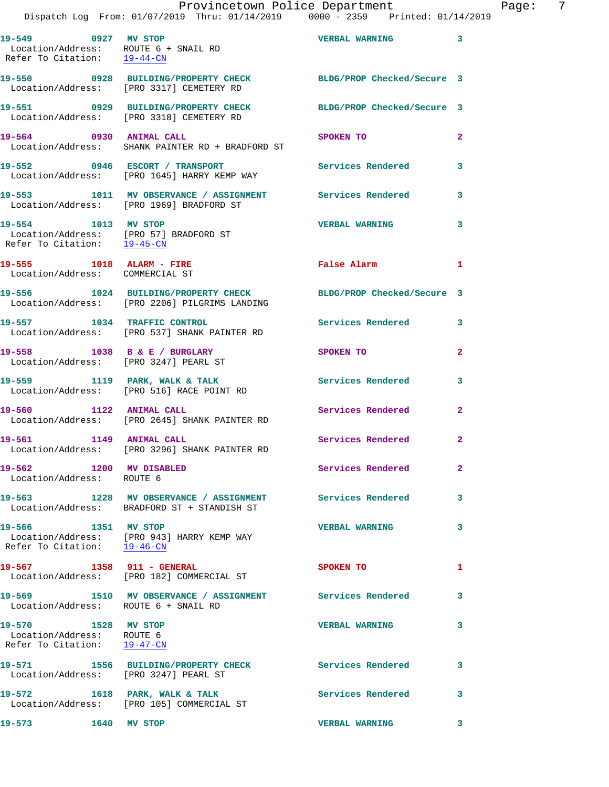|                                                    |  |  | Provincetown Police Department  |  | Page: |  |
|----------------------------------------------------|--|--|---------------------------------|--|-------|--|
| Dispatch Log From: $01/07/2019$ Thru: $01/14/2019$ |  |  | 0000 - 2359 Printed: 01/14/2019 |  |       |  |

**19-549 0927 MV STOP VERBAL WARNING 3** 

 Location/Address: ROUTE 6 + SNAIL RD Refer To Citation: 19-44-CN **19-550 0928 BUILDING/PROPERTY CHECK BLDG/PROP Checked/Secure 3**  Location/Address: [PRO 3317] CEMETERY RD **19-551 0929 BUILDING/PROPERTY CHECK BLDG/PROP Checked/Secure 3**  Location/Address: [PRO 3318] CEMETERY RD 19-564 0930 ANIMAL CALL SPOKEN TO 2 Location/Address: SHANK PAINTER RD + BRADFORD ST **19-552 0946 ESCORT / TRANSPORT Services Rendered 3**  Location/Address: [PRO 1645] HARRY KEMP WAY **19-553 1011 MV OBSERVANCE / ASSIGNMENT Services Rendered 3**  Location/Address: [PRO 1969] BRADFORD ST **19-554 1013 MV STOP VERBAL WARNING 3**  Location/Address: [PRO 57] BRADFORD ST Refer To Citation: 19-45-CN **19-555 1018 ALARM - FIRE False Alarm 1**  Location/Address: COMMERCIAL ST **19-556 1024 BUILDING/PROPERTY CHECK BLDG/PROP Checked/Secure 3**  Location/Address: [PRO 2206] PILGRIMS LANDING **19-557 1034 TRAFFIC CONTROL Services Rendered 3**  Location/Address: [PRO 537] SHANK PAINTER RD **19-558 1038 B & E / BURGLARY SPOKEN TO 2**  Location/Address: [PRO 3247] PEARL ST **19-559 1119 PARK, WALK & TALK Services Rendered 3**  Location/Address: [PRO 516] RACE POINT RD 19-560 1122 ANIMAL CALL **19-560** Services Rendered 2 Location/Address: [PRO 2645] SHANK PAINTER RD **19-561 1149 ANIMAL CALL Services Rendered 2**  Location/Address: [PRO 3296] SHANK PAINTER RD **19-562 1200 MV DISABLED Services Rendered 2**  Location/Address: ROUTE 6 **19-563 1228 MV OBSERVANCE / ASSIGNMENT Services Rendered 3**  Location/Address: BRADFORD ST + STANDISH ST **19-566 1351 MV STOP VERBAL WARNING 3**  Location/Address: [PRO 943] HARRY KEMP WAY Refer To Citation: 19-46-CN 19-567 1358 911 - GENERAL SPOKEN TO 1 Location/Address: [PRO 182] COMMERCIAL ST **19-569 1510 MV OBSERVANCE / ASSIGNMENT Services Rendered 3**  Location/Address: ROUTE 6 + SNAIL RD **19-570 1528 MV STOP VERBAL WARNING 3**  Location/Address: ROUTE 6 Refer To Citation: 19-47-CN **19-571 1556 BUILDING/PROPERTY CHECK Services Rendered 3**  Location/Address: [PRO 3247] PEARL ST 19-572 1618 PARK, WALK & TALK **Services Rendered** 3 Location/Address: [PRO 105] COMMERCIAL ST **19-573 1640 MV STOP VERBAL WARNING 3**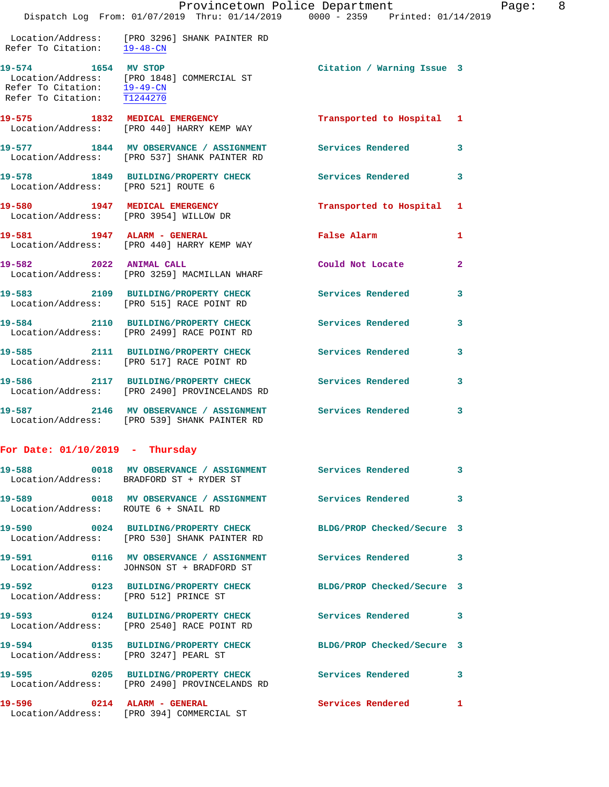## Provincetown Police Department Page: 8

 Location/Address: [PRO 3296] SHANK PAINTER RD Refer To Citation:  $\frac{19-48-CN}{ }$ 

**19-574 1654 MV STOP Citation / Warning Issue 3**  Location/Address: [PRO 1848] COMMERCIAL ST Refer To Citation: 19-49-CN Refer To Citation: T1244270

**19-575 1832 MEDICAL EMERGENCY Transported to Hospital 1**  Location/Address: [PRO 440] HARRY KEMP WAY **19-577 1844 MV OBSERVANCE / ASSIGNMENT Services Rendered 3**  Location/Address: [PRO 537] SHANK PAINTER RD

**19-578 1849 BUILDING/PROPERTY CHECK Services Rendered 3**  Location/Address: [PRO 521] ROUTE 6 **19-580 1947 MEDICAL EMERGENCY Transported to Hospital 1**  Location/Address: [PRO 3954] WILLOW DR

**19-581 1947 ALARM - GENERAL False Alarm 1**  Location/Address: [PRO 440] HARRY KEMP WAY **19-582 2022 ANIMAL CALL Could Not Locate 2**  Location/Address: [PRO 3259] MACMILLAN WHARF **19-583 2109 BUILDING/PROPERTY CHECK Services Rendered 3** 

 Location/Address: [PRO 515] RACE POINT RD **19-584 2110 BUILDING/PROPERTY CHECK Services Rendered 3**  Location/Address: [PRO 2499] RACE POINT RD

**19-585 2111 BUILDING/PROPERTY CHECK Services Rendered 3**  Location/Address: [PRO 517] RACE POINT RD **19-586 2117 BUILDING/PROPERTY CHECK Services Rendered 3**  Location/Address: [PRO 2490] PROVINCELANDS RD **19-587 2146 MV OBSERVANCE / ASSIGNMENT Services Rendered 3** 

## **For Date: 01/10/2019 - Thursday**

Location/Address: [PRO 539] SHANK PAINTER RD

|                                       | 19-588       0018  MV OBSERVANCE / ASSIGNMENT      Services Rendered<br>Location/Address: BRADFORD ST + RYDER ST |                            | $\overline{3}$          |
|---------------------------------------|------------------------------------------------------------------------------------------------------------------|----------------------------|-------------------------|
| Location/Address: ROUTE 6 + SNAIL RD  | 19-589 0018 MV OBSERVANCE / ASSIGNMENT Services Rendered                                                         |                            | $\overline{\mathbf{3}}$ |
|                                       | 19-590 0024 BUILDING/PROPERTY CHECK BLDG/PROP Checked/Secure 3<br>Location/Address: [PRO 530] SHANK PAINTER RD   |                            |                         |
|                                       | 19-591 0116 MV OBSERVANCE / ASSIGNMENT Services Rendered 3<br>Location/Address: JOHNSON ST + BRADFORD ST         |                            |                         |
| Location/Address: [PRO 512] PRINCE ST | 19-592 0123 BUILDING/PROPERTY CHECK                                                                              | BLDG/PROP Checked/Secure 3 |                         |
|                                       | 19-593 0124 BUILDING/PROPERTY CHECK<br>Location/Address: [PRO 2540] RACE POINT RD                                | Services Rendered 3        |                         |
| Location/Address: [PRO 3247] PEARL ST | 19-594 0135 BUILDING/PROPERTY CHECK BLDG/PROP Checked/Secure 3                                                   |                            |                         |
|                                       | 19-595 		 0205 BUILDING/PROPERTY CHECK Services Rendered<br>Location/Address: [PRO 2490] PROVINCELANDS RD        |                            | $\mathbf{3}$            |
| 19-596 0214 ALARM - GENERAL           | Location/Address: [PRO 394] COMMERCIAL ST                                                                        | <b>Services Rendered</b>   | $\mathbf{1}$            |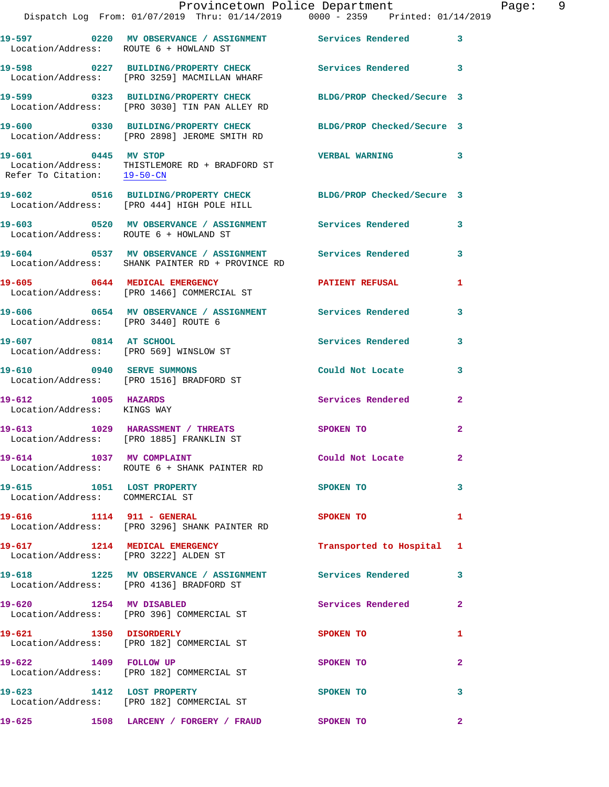|                                                              | Provincetown Police Department<br>Dispatch Log From: 01/07/2019 Thru: 01/14/2019 0000 - 2359 Printed: 01/14/2019 |                           | Page: 9      |
|--------------------------------------------------------------|------------------------------------------------------------------------------------------------------------------|---------------------------|--------------|
| Location/Address: ROUTE 6 + HOWLAND ST                       | 19-597 6220 MV OBSERVANCE / ASSIGNMENT Services Rendered 3                                                       |                           |              |
|                                                              | 19-598 0227 BUILDING/PROPERTY CHECK Services Rendered 3<br>Location/Address: [PRO 3259] MACMILLAN WHARF          |                           |              |
|                                                              | 19-599 0323 BUILDING/PROPERTY CHECK BLDG/PROP Checked/Secure 3<br>Location/Address: [PRO 3030] TIN PAN ALLEY RD  |                           |              |
|                                                              | 19-600 0330 BUILDING/PROPERTY CHECK BLDG/PROP Checked/Secure 3<br>Location/Address: [PRO 2898] JEROME SMITH RD   |                           |              |
| 19-601 0445 MV STOP<br>Refer To Citation: 19-50-CN           | Location/Address: THISTLEMORE RD + BRADFORD ST                                                                   | VERBAL WARNING 3          |              |
|                                                              | 19-602 0516 BUILDING/PROPERTY CHECK BLDG/PROP Checked/Secure 3<br>Location/Address: [PRO 444] HIGH POLE HILL     |                           |              |
| Location/Address: ROUTE 6 + HOWLAND ST                       | 19-603 6520 MV OBSERVANCE / ASSIGNMENT Services Rendered 3                                                       |                           |              |
|                                                              | 19-604 0537 MV OBSERVANCE / ASSIGNMENT Services Rendered<br>Location/Address: SHANK PAINTER RD + PROVINCE RD     |                           | 3            |
|                                                              | 19-605 0644 MEDICAL EMERGENCY PATIENT REFUSAL<br>Location/Address: [PRO 1466] COMMERCIAL ST                      |                           | 1            |
| Location/Address: [PRO 3440] ROUTE 6                         | 19-606 60654 MV OBSERVANCE / ASSIGNMENT Services Rendered                                                        |                           | 3            |
| 19-607 0814 AT SCHOOL                                        | Location/Address: [PRO 569] WINSLOW ST                                                                           | <b>Services Rendered</b>  | 3            |
|                                                              | 19-610 0940 SERVE SUMMONS<br>Location/Address: [PRO 1516] BRADFORD ST                                            | Could Not Locate          | 3            |
| 19-612 1005 HAZARDS<br>Location/Address: KINGS WAY           |                                                                                                                  | Services Rendered         | $\mathbf{2}$ |
|                                                              | 19-613 1029 HARASSMENT / THREATS<br>Location/Address: [PRO 1885] FRANKLIN ST                                     | SPOKEN TO                 | 2            |
|                                                              | 19-614 1037 MV COMPLAINT<br>Location/Address: ROUTE 6 + SHANK PAINTER RD                                         | Could Not Locate          | $\mathbf{2}$ |
| 19-615 1051 LOST PROPERTY<br>Location/Address: COMMERCIAL ST |                                                                                                                  | SPOKEN TO                 | 3            |
|                                                              | 19-616 1114 911 - GENERAL<br>Location/Address: [PRO 3296] SHANK PAINTER RD                                       | SPOKEN TO                 | $\mathbf{1}$ |
|                                                              | 19-617 1214 MEDICAL EMERGENCY<br>Location/Address: [PRO 3222] ALDEN ST                                           | Transported to Hospital 1 |              |
|                                                              | 19-618 1225 MV OBSERVANCE / ASSIGNMENT Services Rendered 3<br>Location/Address: [PRO 4136] BRADFORD ST           |                           |              |
| 19-620 1254 MV DISABLED                                      | Location/Address: [PRO 396] COMMERCIAL ST                                                                        | Services Rendered         | 2            |
| 19-621 1350 DISORDERLY                                       | Location/Address: [PRO 182] COMMERCIAL ST                                                                        | SPOKEN TO                 | 1            |
|                                                              | 19-622 1409 FOLLOW UP<br>Location/Address: [PRO 182] COMMERCIAL ST                                               | SPOKEN TO                 | $\mathbf{2}$ |
| 19-623 1412 LOST PROPERTY                                    | Location/Address: [PRO 182] COMMERCIAL ST                                                                        | SPOKEN TO                 | 3            |
| 19-625                                                       | 1508 LARCENY / FORGERY / FRAUD SPOKEN TO                                                                         |                           | $\mathbf{2}$ |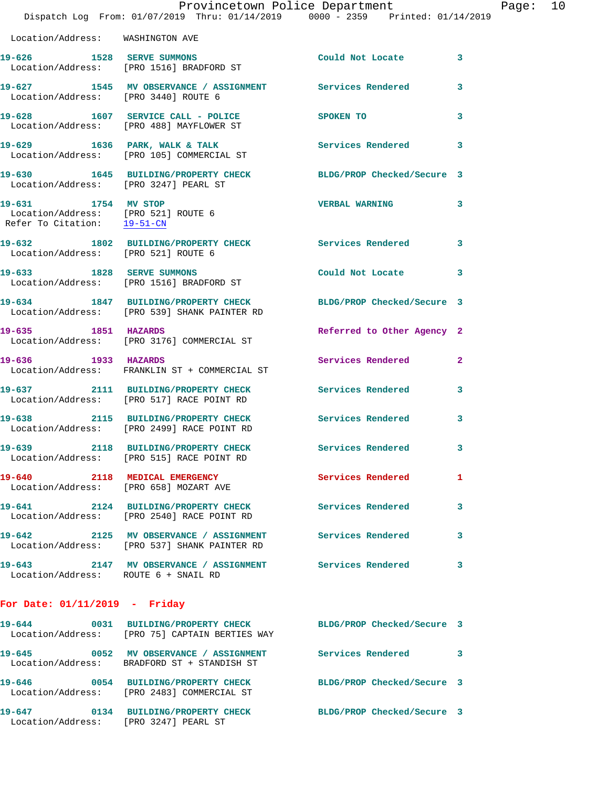|                                                                                           | Provincetown Police Department<br>Dispatch Log From: 01/07/2019 Thru: 01/14/2019 0000 - 2359 Printed: 01/14/2019 |                            |                         |
|-------------------------------------------------------------------------------------------|------------------------------------------------------------------------------------------------------------------|----------------------------|-------------------------|
| Location/Address: WASHINGTON AVE                                                          |                                                                                                                  |                            |                         |
|                                                                                           | 19-626 1528 SERVE SUMMONS<br>Location/Address: [PRO 1516] BRADFORD ST                                            | Could Not Locate           | 3                       |
| Location/Address: [PRO 3440] ROUTE 6                                                      | 19-627 1545 MV OBSERVANCE / ASSIGNMENT Services Rendered                                                         |                            | 3                       |
|                                                                                           | 19-628 1607 SERVICE CALL - POLICE<br>Location/Address: [PRO 488] MAYFLOWER ST                                    | SPOKEN TO                  | 3                       |
|                                                                                           | 19-629 1636 PARK, WALK & TALK<br>Location/Address: [PRO 105] COMMERCIAL ST                                       | Services Rendered          | 3                       |
| Location/Address: [PRO 3247] PEARL ST                                                     | 19-630 1645 BUILDING/PROPERTY CHECK BLDG/PROP Checked/Secure 3                                                   |                            |                         |
| 19-631 1754 MV STOP<br>Location/Address: [PRO 521] ROUTE 6<br>Refer To Citation: 19-51-CN |                                                                                                                  | <b>VERBAL WARNING</b>      | 3                       |
| Location/Address: [PRO 521] ROUTE 6                                                       | 19-632 1802 BUILDING/PROPERTY CHECK Services Rendered                                                            |                            | 3                       |
| 19-633 1828 SERVE SUMMONS                                                                 | Location/Address: [PRO 1516] BRADFORD ST                                                                         | Could Not Locate           | 3                       |
|                                                                                           | 19-634 1847 BUILDING/PROPERTY CHECK BLDG/PROP Checked/Secure 3<br>Location/Address: [PRO 539] SHANK PAINTER RD   |                            |                         |
| 19-635 1851 HAZARDS                                                                       | Location/Address: [PRO 3176] COMMERCIAL ST                                                                       | Referred to Other Agency 2 |                         |
| 19-636 1933 HAZARDS                                                                       | Location/Address: FRANKLIN ST + COMMERCIAL ST                                                                    | Services Rendered          | $\overline{\mathbf{2}}$ |
|                                                                                           | 19-637 2111 BUILDING/PROPERTY CHECK<br>Location/Address: [PRO 517] RACE POINT RD                                 | <b>Services Rendered</b>   | 3                       |
|                                                                                           | 19-638 2115 BUILDING/PROPERTY CHECK<br>Location/Address: [PRO 2499] RACE POINT RD                                | Services Rendered          | 3                       |
|                                                                                           | 19-639 2118 BUILDING/PROPERTY CHECK<br>Location/Address: [PRO 515] RACE POINT RD                                 | Services Rendered          | 3                       |
| 19-640 2118 MEDICAL EMERGENCY                                                             | Location/Address: [PRO 658] MOZART AVE                                                                           | Services Rendered          | 1                       |
|                                                                                           | 19-641 2124 BUILDING/PROPERTY CHECK<br>Location/Address: [PRO 2540] RACE POINT RD                                | Services Rendered          | 3                       |
|                                                                                           | 19-642 2125 MV OBSERVANCE / ASSIGNMENT<br>Location/Address: [PRO 537] SHANK PAINTER RD                           | <b>Services Rendered</b>   | 3                       |
| Location/Address: ROUTE 6 + SNAIL RD                                                      | 19-643 2147 MV OBSERVANCE / ASSIGNMENT                                                                           | <b>Services Rendered</b>   | 3                       |
| For Date: $01/11/2019$ - Friday                                                           |                                                                                                                  |                            |                         |
|                                                                                           | 19-644 0031 BUILDING/PROPERTY CHECK<br>Location/Address: [PRO 75] CAPTAIN BERTIES WAY                            | BLDG/PROP Checked/Secure 3 |                         |
| 19-645                                                                                    | 0052 MV OBSERVANCE / ASSIGNMENT Services Rendered<br>Location/Address: BRADFORD ST + STANDISH ST                 |                            | 3                       |
|                                                                                           | 19-646 0054 BUILDING/PROPERTY CHECK<br>Location/Address: [PRO 2483] COMMERCIAL ST                                | BLDG/PROP Checked/Secure 3 |                         |

**19-647 0134 BUILDING/PROPERTY CHECK BLDG/PROP Checked/Secure 3** 

Location/Address: [PRO 3247] PEARL ST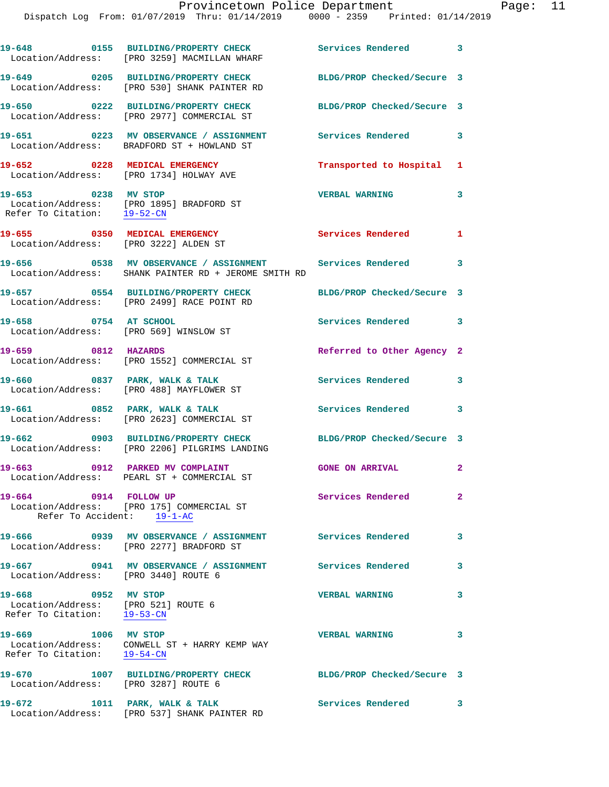|                                                                                           | 19-648 0155 BUILDING/PROPERTY CHECK<br>Location/Address: [PRO 3259] MACMILLAN WHARF                                    | Services Rendered 3        |              |
|-------------------------------------------------------------------------------------------|------------------------------------------------------------------------------------------------------------------------|----------------------------|--------------|
|                                                                                           | 19-649 0205 BUILDING/PROPERTY CHECK<br>Location/Address: [PRO 530] SHANK PAINTER RD                                    | BLDG/PROP Checked/Secure 3 |              |
|                                                                                           | 19-650 0222 BUILDING/PROPERTY CHECK<br>Location/Address: [PRO 2977] COMMERCIAL ST                                      | BLDG/PROP Checked/Secure 3 |              |
|                                                                                           | 19-651 6223 MV OBSERVANCE / ASSIGNMENT Services Rendered 3<br>Location/Address: BRADFORD ST + HOWLAND ST               |                            |              |
| 19-652 0228 MEDICAL EMERGENCY                                                             | Location/Address: [PRO 1734] HOLWAY AVE                                                                                | Transported to Hospital 1  |              |
| 19-653 0238 MV STOP                                                                       | Location/Address: [PRO 1895] BRADFORD ST<br>Refer To Citation: 19-52-CN                                                | <b>VERBAL WARNING</b>      | 3            |
| Location/Address: [PRO 3222] ALDEN ST                                                     | 19-655 0350 MEDICAL EMERGENCY                                                                                          | Services Rendered 1        |              |
|                                                                                           | 19-656 6 0538 MV OBSERVANCE / ASSIGNMENT 6 Services Rendered 3<br>Location/Address: SHANK PAINTER RD + JEROME SMITH RD |                            |              |
|                                                                                           | 19-657 0554 BUILDING/PROPERTY CHECK<br>Location/Address: [PRO 2499] RACE POINT RD                                      | BLDG/PROP Checked/Secure 3 |              |
| 19-658 0754 AT SCHOOL                                                                     | Location/Address: [PRO 569] WINSLOW ST                                                                                 | Services Rendered 3        |              |
| 19-659 0812 HAZARDS                                                                       | Location/Address: [PRO 1552] COMMERCIAL ST                                                                             | Referred to Other Agency 2 |              |
|                                                                                           | 19-660 0837 PARK, WALK & TALK<br>Location/Address: [PRO 488] MAYFLOWER ST                                              | <b>Services Rendered</b> 3 |              |
|                                                                                           | 19-661 0852 PARK, WALK & TALK<br>Location/Address: [PRO 2623] COMMERCIAL ST                                            | Services Rendered 3        |              |
|                                                                                           | 19-662 0903 BUILDING/PROPERTY CHECK BLDG/PROP Checked/Secure 3<br>Location/Address: [PRO 2206] PILGRIMS LANDING        |                            |              |
|                                                                                           | 19-663 0912 PARKED MV COMPLAINT<br>Location/Address: PEARL ST + COMMERCIAL ST                                          | <b>GONE ON ARRIVAL</b>     | $\mathbf{2}$ |
| 19-664 0914 FOLLOW UP<br>Refer To Accident: 19-1-AC                                       | Location/Address: [PRO 175] COMMERCIAL ST                                                                              | <b>Services Rendered</b>   | $\mathbf{2}$ |
|                                                                                           | Location/Address: [PRO 2277] BRADFORD ST                                                                               |                            | 3            |
| 19-667<br>Location/Address: [PRO 3440] ROUTE 6                                            | 0941 MV OBSERVANCE / ASSIGNMENT                                                                                        | <b>Services Rendered</b>   | 3            |
| 19-668 0952 MV STOP<br>Location/Address: [PRO 521] ROUTE 6<br>Refer To Citation: 19-53-CN |                                                                                                                        | <b>VERBAL WARNING</b>      | 3            |
| 19-669 1006 MV STOP                                                                       | Location/Address: CONWELL ST + HARRY KEMP WAY<br>Refer To Citation: $19-54-CN$                                         | <b>VERBAL WARNING</b>      | 3            |
| Location/Address: [PRO 3287] ROUTE 6                                                      | 19-670 1007 BUILDING/PROPERTY CHECK                                                                                    | BLDG/PROP Checked/Secure 3 |              |
| 19-672                                                                                    | 1011 PARK, WALK & TALK                                                                                                 | Services Rendered 3        |              |

Location/Address: [PRO 537] SHANK PAINTER RD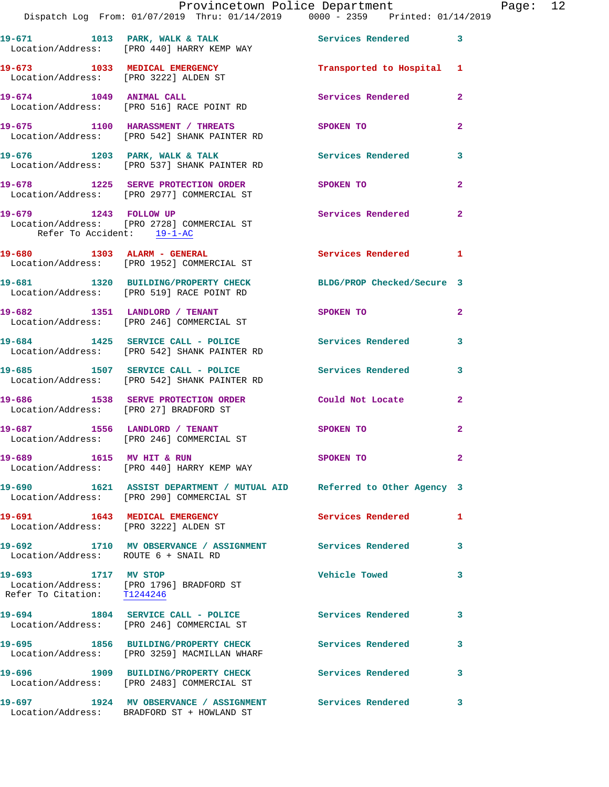|                                                                        | Provincetown Police Department<br>Dispatch Log From: 01/07/2019 Thru: 01/14/2019 0000 - 2359 Printed: 01/14/2019   |                          |                |
|------------------------------------------------------------------------|--------------------------------------------------------------------------------------------------------------------|--------------------------|----------------|
|                                                                        | 19-671 1013 PARK, WALK & TALK<br>Location/Address: [PRO 440] HARRY KEMP WAY                                        | Services Rendered        | 3              |
| 19-673 1033 MEDICAL EMERGENCY<br>Location/Address: [PRO 3222] ALDEN ST |                                                                                                                    | Transported to Hospital  | 1              |
|                                                                        | 19-674 1049 ANIMAL CALL<br>Location/Address: [PRO 516] RACE POINT RD                                               | Services Rendered        | $\mathbf{2}$   |
|                                                                        | 19-675 1100 HARASSMENT / THREATS<br>Location/Address: [PRO 542] SHANK PAINTER RD                                   | SPOKEN TO                | 2              |
|                                                                        | 19-676 1203 PARK, WALK & TALK<br>Location/Address: [PRO 537] SHANK PAINTER RD                                      | Services Rendered        | 3              |
|                                                                        | 19-678 1225 SERVE PROTECTION ORDER<br>Location/Address: [PRO 2977] COMMERCIAL ST                                   | SPOKEN TO                | $\mathbf{2}$   |
| 19-679 1243 FOLLOW UP<br>Refer To Accident: 19-1-AC                    | Location/Address: [PRO 2728] COMMERCIAL ST                                                                         | Services Rendered        | $\overline{a}$ |
|                                                                        | 19-680 1303 ALARM - GENERAL<br>Location/Address: [PRO 1952] COMMERCIAL ST                                          | <b>Services Rendered</b> | 1              |
|                                                                        | 19-681 1320 BUILDING/PROPERTY CHECK BLDG/PROP Checked/Secure 3<br>Location/Address: [PRO 519] RACE POINT RD        |                          |                |
|                                                                        | 19-682 1351 LANDLORD / TENANT<br>Location/Address: [PRO 246] COMMERCIAL ST                                         | <b>SPOKEN TO</b>         | $\mathbf{2}$   |
|                                                                        | 19-684 1425 SERVICE CALL - POLICE 2008 Services Rendered<br>Location/Address: [PRO 542] SHANK PAINTER RD           |                          | 3              |
|                                                                        | 19-685 1507 SERVICE CALL - POLICE<br>Location/Address: [PRO 542] SHANK PAINTER RD                                  | <b>Services Rendered</b> | 3              |
| Location/Address: [PRO 27] BRADFORD ST                                 | 19-686 1538 SERVE PROTECTION ORDER                                                                                 | Could Not Locate         | $\mathbf{2}$   |
|                                                                        | 19-687 1556 LANDLORD / TENANT<br>Location/Address: [PRO 246] COMMERCIAL ST                                         | <b>SPOKEN TO</b>         | $\overline{a}$ |
| 19-689 1615 MV HIT & RUN                                               | Location/Address: [PRO 440] HARRY KEMP WAY                                                                         | SPOKEN TO                | $\mathbf{2}$   |
|                                                                        | 19-690 1621 ASSIST DEPARTMENT / MUTUAL AID Referred to Other Agency 3<br>Location/Address: [PRO 290] COMMERCIAL ST |                          |                |
| 19-691 1643 MEDICAL EMERGENCY<br>Location/Address: [PRO 3222] ALDEN ST |                                                                                                                    | <b>Services Rendered</b> | 1              |
| Location/Address: ROUTE 6 + SNAIL RD                                   | 19-692 1710 MV OBSERVANCE / ASSIGNMENT Services Rendered                                                           |                          | 3              |
| 19-693 1717 MV STOP<br>Refer To Citation: T1244246                     | Location/Address: [PRO 1796] BRADFORD ST                                                                           | <b>Vehicle Towed</b>     | 3              |
|                                                                        | 19-694 1804 SERVICE CALL - POLICE<br>Location/Address: [PRO 246] COMMERCIAL ST                                     | <b>Services Rendered</b> | 3              |
|                                                                        | 19-695 1856 BUILDING/PROPERTY CHECK<br>Location/Address: [PRO 3259] MACMILLAN WHARF                                | Services Rendered        | 3              |
|                                                                        | 19-696 1909 BUILDING/PROPERTY CHECK<br>Location/Address: [PRO 2483] COMMERCIAL ST                                  | Services Rendered        | 3              |
|                                                                        | 19-697 1924 MV OBSERVANCE / ASSIGNMENT Services Rendered<br>Location/Address: BRADFORD ST + HOWLAND ST             |                          | 3              |

Page: 12<br><sup>19</sup>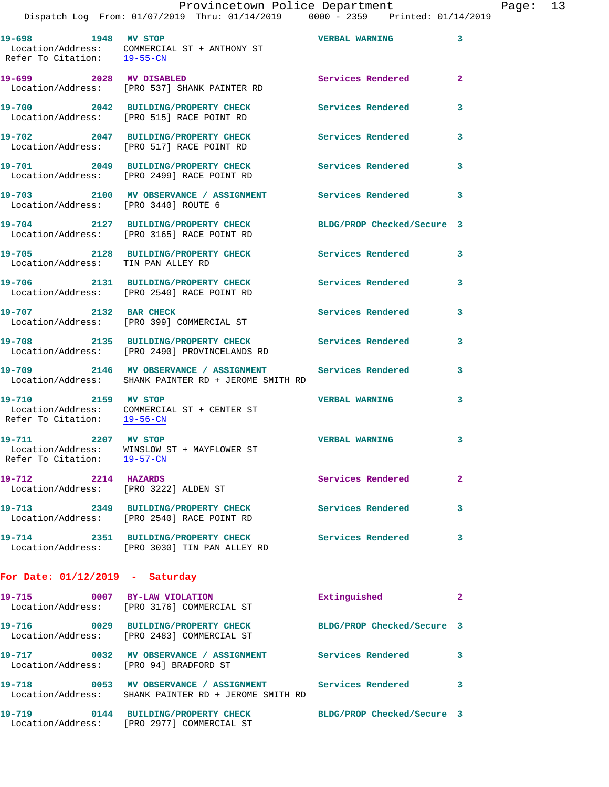| 19-698 1948 MV STOP<br>Refer To Citation: 19-55-CN | Location/Address: COMMERCIAL ST + ANTHONY ST                                                                     | <b>VERBAL WARNING</b>      | 3                       |
|----------------------------------------------------|------------------------------------------------------------------------------------------------------------------|----------------------------|-------------------------|
| 19-699 2028 MV DISABLED                            | Location/Address: [PRO 537] SHANK PAINTER RD                                                                     | Services Rendered          | $\overline{\mathbf{2}}$ |
|                                                    | 19-700 2042 BUILDING/PROPERTY CHECK<br>Location/Address: [PRO 515] RACE POINT RD                                 | <b>Services Rendered</b>   | 3                       |
|                                                    | 19-702 2047 BUILDING/PROPERTY CHECK<br>Location/Address: [PRO 517] RACE POINT RD                                 | Services Rendered          | 3                       |
|                                                    | 19-701 2049 BUILDING/PROPERTY CHECK<br>Location/Address: [PRO 2499] RACE POINT RD                                | Services Rendered          | 3                       |
| 19-703                                             | 2100 MV OBSERVANCE / ASSIGNMENT Services Rendered<br>Location/Address: [PRO 3440] ROUTE 6                        |                            | 3                       |
|                                                    | 19-704 2127 BUILDING/PROPERTY CHECK<br>Location/Address: [PRO 3165] RACE POINT RD                                | BLDG/PROP Checked/Secure 3 |                         |
|                                                    | 19-705 2128 BUILDING/PROPERTY CHECK<br>Location/Address: TIN PAN ALLEY RD                                        | Services Rendered          | 3                       |
|                                                    | 19-706 2131 BUILDING/PROPERTY CHECK<br>Location/Address: [PRO 2540] RACE POINT RD                                | <b>Services Rendered</b>   | 3                       |
| 19-707 2132 BAR CHECK                              | Location/Address: [PRO 399] COMMERCIAL ST                                                                        | Services Rendered          | 3                       |
|                                                    | 19-708 2135 BUILDING/PROPERTY CHECK<br>Location/Address: [PRO 2490] PROVINCELANDS RD                             | Services Rendered          | 3                       |
|                                                    | 19-709 2146 MV OBSERVANCE / ASSIGNMENT<br>Location/Address: SHANK PAINTER RD + JEROME SMITH RD                   | <b>Services Rendered</b>   | 3                       |
| 19-710 2159 MV STOP<br>Refer To Citation: 19-56-CN | Location/Address: COMMERCIAL ST + CENTER ST                                                                      | <b>VERBAL WARNING</b>      | 3                       |
| 19-711 2207 MV STOP                                | Location/Address: WINSLOW ST + MAYFLOWER ST<br>Refer To Citation: 19-57-CN                                       | <b>VERBAL WARNING</b>      | 3                       |
|                                                    | 19-712 2214 HAZARDS<br>Location/Address: [PRO 3222] ALDEN ST                                                     | Services Rendered          |                         |
|                                                    | 19-713 2349 BUILDING/PROPERTY CHECK<br>Location/Address: [PRO 2540] RACE POINT RD                                | Services Rendered          | 3                       |
|                                                    | 19-714 2351 BUILDING/PROPERTY CHECK<br>Location/Address: [PRO 3030] TIN PAN ALLEY RD                             | Services Rendered          | 3                       |
| For Date: $01/12/2019$ - Saturday                  |                                                                                                                  |                            |                         |
|                                                    | 19-715 0007 BY-LAW VIOLATION<br>Location/Address: [PRO 3176] COMMERCIAL ST                                       | Extinguished               | 2                       |
|                                                    | 19-716 0029 BUILDING/PROPERTY CHECK<br>Location/Address: [PRO 2483] COMMERCIAL ST                                | BLDG/PROP Checked/Secure 3 |                         |
|                                                    | 19-717 0032 MV OBSERVANCE / ASSIGNMENT Services Rendered<br>Location/Address: [PRO 94] BRADFORD ST               |                            | 3                       |
|                                                    | 19-718 0053 MV OBSERVANCE / ASSIGNMENT Services Rendered<br>Location/Address: SHANK PAINTER RD + JEROME SMITH RD |                            | 3                       |

**19-719 0144 BUILDING/PROPERTY CHECK BLDG/PROP Checked/Secure 3**  Location/Address: [PRO 2977] COMMERCIAL ST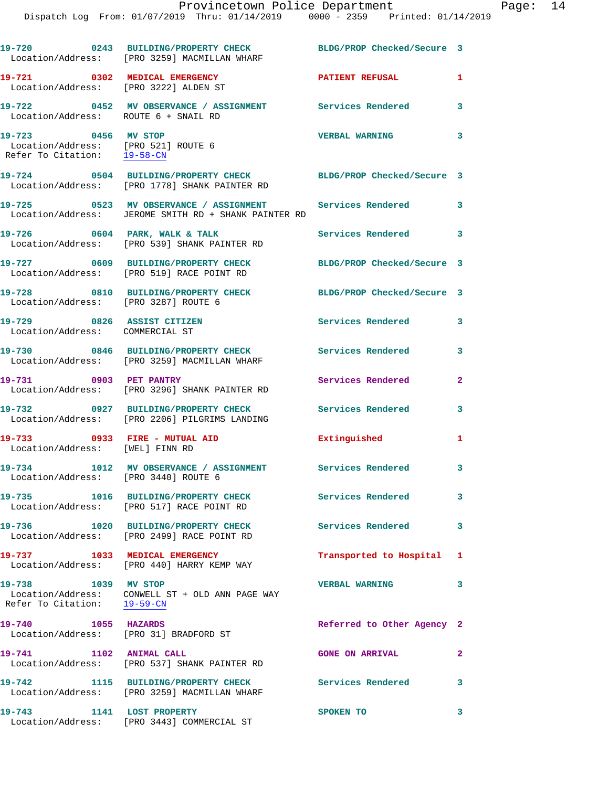|                                                                                           | 19-720 0243 BUILDING/PROPERTY CHECK<br>Location/Address: [PRO 3259] MACMILLAN WHARF                              | BLDG/PROP Checked/Secure 3 |              |
|-------------------------------------------------------------------------------------------|------------------------------------------------------------------------------------------------------------------|----------------------------|--------------|
| 19-721 0302 MEDICAL EMERGENCY<br>Location/Address: [PRO 3222] ALDEN ST                    |                                                                                                                  | <b>PATIENT REFUSAL</b>     | 1            |
| 19-722<br>Location/Address: ROUTE 6 + SNAIL RD                                            | 0452 MV OBSERVANCE / ASSIGNMENT Services Rendered                                                                |                            | 3            |
| 19-723 0456 MV STOP<br>Location/Address: [PRO 521] ROUTE 6<br>Refer To Citation: 19-58-CN |                                                                                                                  | <b>VERBAL WARNING</b>      | 3            |
|                                                                                           | 19-724 0504 BUILDING/PROPERTY CHECK BLDG/PROP Checked/Secure 3<br>Location/Address: [PRO 1778] SHANK PAINTER RD  |                            |              |
|                                                                                           | 19-725 0523 MV OBSERVANCE / ASSIGNMENT Services Rendered<br>Location/Address: JEROME SMITH RD + SHANK PAINTER RD |                            | 3            |
|                                                                                           | $19-726$ 0604 PARK, WALK & TALK<br>Location/Address: [PRO 539] SHANK PAINTER RD                                  | Services Rendered          | 3            |
|                                                                                           | 19-727 0609 BUILDING/PROPERTY CHECK<br>Location/Address: [PRO 519] RACE POINT RD                                 | BLDG/PROP Checked/Secure 3 |              |
| Location/Address: [PRO 3287] ROUTE 6                                                      | 19-728 0810 BUILDING/PROPERTY CHECK                                                                              | BLDG/PROP Checked/Secure 3 |              |
| 19-729 0826 ASSIST CITIZEN<br>Location/Address: COMMERCIAL ST                             |                                                                                                                  | <b>Services Rendered</b>   | 3            |
|                                                                                           | 19-730 0846 BUILDING/PROPERTY CHECK<br>Location/Address: [PRO 3259] MACMILLAN WHARF                              | Services Rendered          | 3            |
| 19-731 0903 PET PANTRY                                                                    | Location/Address: [PRO 3296] SHANK PAINTER RD                                                                    | Services Rendered          | $\mathbf{2}$ |
|                                                                                           | 19-732 0927 BUILDING/PROPERTY CHECK<br>Location/Address: [PRO 2206] PILGRIMS LANDING                             | Services Rendered          | 3            |
| 19-733 0933 FIRE - MUTUAL AID<br>Location/Address: [WEL] FINN RD                          |                                                                                                                  | Extinguished               | 1            |
| Location/Address: [PRO 3440] ROUTE 6                                                      | 19-734 1012 MV OBSERVANCE / ASSIGNMENT Services Rendered 3                                                       |                            |              |
|                                                                                           | 19-735 1016 BUILDING/PROPERTY CHECK<br>Location/Address: [PRO 517] RACE POINT RD                                 | Services Rendered          | 3            |
|                                                                                           | 19-736 1020 BUILDING/PROPERTY CHECK<br>Location/Address: [PRO 2499] RACE POINT RD                                | <b>Services Rendered</b>   | 3            |
|                                                                                           | 19-737 1033 MEDICAL EMERGENCY<br>Location/Address: [PRO 440] HARRY KEMP WAY                                      | Transported to Hospital 1  |              |
| 19-738 1039 MV STOP                                                                       | Location/Address: CONWELL ST + OLD ANN PAGE WAY<br>Refer To Citation: $\frac{19-59-CN}{29-59-CN}$                | <b>VERBAL WARNING</b>      | 3            |
| 1055 HAZARDS<br>19-740                                                                    | Location/Address: [PRO 31] BRADFORD ST                                                                           | Referred to Other Agency 2 |              |
| 19-741 1102 ANIMAL CALL                                                                   | Location/Address: [PRO 537] SHANK PAINTER RD                                                                     | <b>GONE ON ARRIVAL</b>     | $\mathbf{2}$ |
|                                                                                           | 19-742 1115 BUILDING/PROPERTY CHECK<br>Location/Address: [PRO 3259] MACMILLAN WHARF                              | <b>Services Rendered</b>   | 3            |
| 19-743 1141 LOST PROPERTY                                                                 | Location/Address: [PRO 3443] COMMERCIAL ST                                                                       | SPOKEN TO                  | 3            |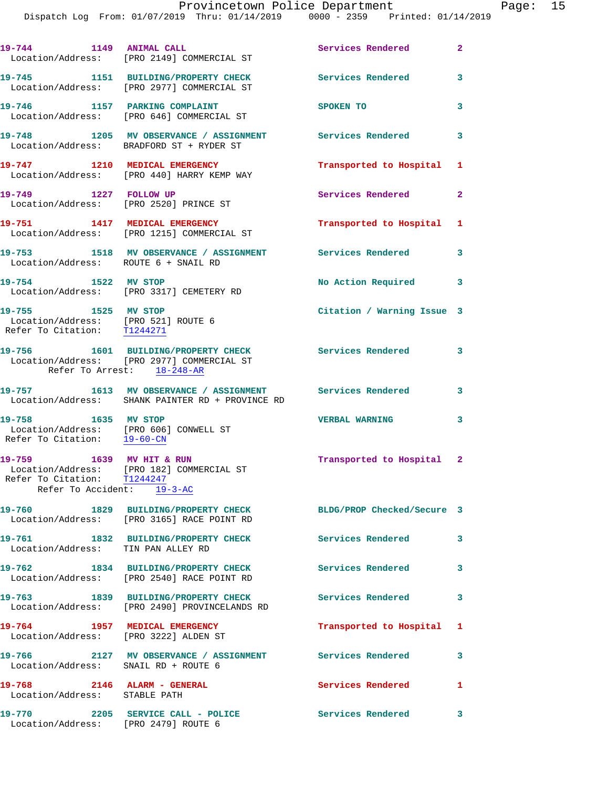| 19-744 1149 ANIMAL CALL                                                                      | Location/Address: [PRO 2149] COMMERCIAL ST                                                                                          | Services Rendered          | $\mathbf{2}$ |
|----------------------------------------------------------------------------------------------|-------------------------------------------------------------------------------------------------------------------------------------|----------------------------|--------------|
|                                                                                              | 19-745 1151 BUILDING/PROPERTY CHECK<br>Location/Address: [PRO 2977] COMMERCIAL ST                                                   | Services Rendered 3        |              |
|                                                                                              | 19-746 1157 PARKING COMPLAINT<br>Location/Address: [PRO 646] COMMERCIAL ST                                                          | SPOKEN TO                  | 3            |
| 19-748                                                                                       | 1205 MV OBSERVANCE / ASSIGNMENT Services Rendered 3<br>Location/Address: BRADFORD ST + RYDER ST                                     |                            |              |
|                                                                                              | 19-747 1210 MEDICAL EMERGENCY<br>Location/Address: [PRO 440] HARRY KEMP WAY                                                         | Transported to Hospital 1  |              |
| 19-749 1227 FOLLOW UP                                                                        | Location/Address: [PRO 2520] PRINCE ST                                                                                              | Services Rendered 2        |              |
|                                                                                              | 19-751 1417 MEDICAL EMERGENCY<br>Location/Address: [PRO 1215] COMMERCIAL ST                                                         | Transported to Hospital 1  |              |
| Location/Address: ROUTE 6 + SNAIL RD                                                         | 19-753 1518 MV OBSERVANCE / ASSIGNMENT Services Rendered 3                                                                          |                            |              |
| 19-754 1522 MV STOP                                                                          | Location/Address: [PRO 3317] CEMETERY RD                                                                                            | No Action Required 3       |              |
| 19-755 1525 MV STOP<br>Location/Address: [PRO 521] ROUTE 6<br>Refer To Citation: T1244271    |                                                                                                                                     | Citation / Warning Issue 3 |              |
|                                                                                              | 19-756 1601 BUILDING/PROPERTY CHECK Services Rendered 3<br>Location/Address: [PRO 2977] COMMERCIAL ST<br>Refer To Arrest: 18-248-AR |                            |              |
|                                                                                              | 19-757 1613 MV OBSERVANCE / ASSIGNMENT Services Rendered 3<br>Location/Address: SHANK PAINTER RD + PROVINCE RD                      |                            |              |
| 19-758 1635 MV STOP<br>Location/Address: [PRO 606] CONWELL ST<br>Refer To Citation: 19-60-CN |                                                                                                                                     | <b>VERBAL WARNING</b>      | 3            |
| 19-759 1639 MV HIT & RUN<br>Refer To Citation: T1244247<br>Refer To Accident: 19-3-AC        | Location/Address: [PRO 182] COMMERCIAL ST                                                                                           | Transported to Hospital 2  |              |
|                                                                                              | 19-760 1829 BUILDING/PROPERTY CHECK<br>Location/Address: [PRO 3165] RACE POINT RD                                                   | BLDG/PROP Checked/Secure 3 |              |
| Location/Address: TIN PAN ALLEY RD                                                           | 19-761 1832 BUILDING/PROPERTY CHECK                                                                                                 | Services Rendered          | 3            |
|                                                                                              | 19-762 1834 BUILDING/PROPERTY CHECK<br>Location/Address: [PRO 2540] RACE POINT RD                                                   | <b>Services Rendered</b>   | 3            |
|                                                                                              | 19-763 1839 BUILDING/PROPERTY CHECK<br>Location/Address: [PRO 2490] PROVINCELANDS RD                                                | <b>Services Rendered</b>   | 3            |
| 19-764 1957 MEDICAL EMERGENCY<br>Location/Address: [PRO 3222] ALDEN ST                       |                                                                                                                                     | Transported to Hospital 1  |              |
| Location/Address: SNAIL RD + ROUTE 6                                                         | 19-766 2127 MV OBSERVANCE / ASSIGNMENT Services Rendered                                                                            |                            | 3            |
| 19-768 2146 ALARM - GENERAL<br>Location/Address: STABLE PATH                                 |                                                                                                                                     | <b>Services Rendered</b>   | 1            |
| 19-770<br>Location/Address: [PRO 2479] ROUTE 6                                               | 2205 SERVICE CALL - POLICE                                                                                                          | Services Rendered          | 3            |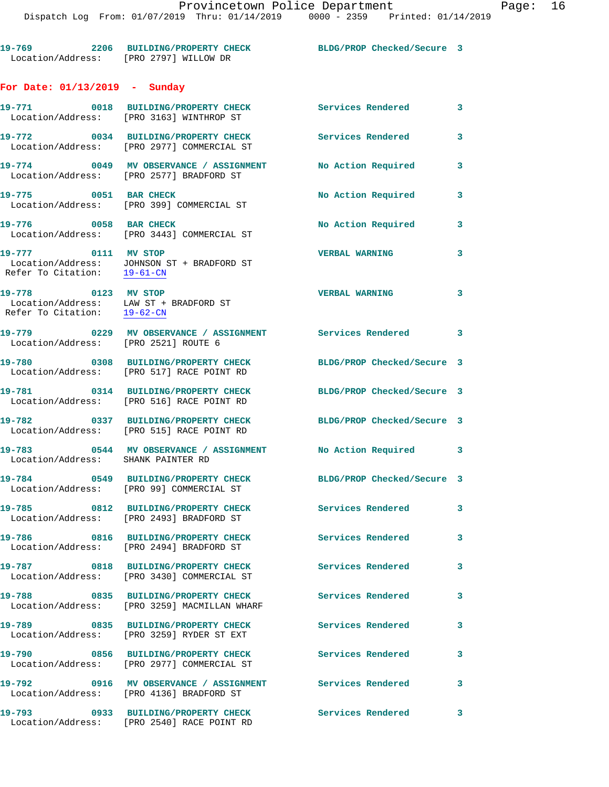**19-769 2206 BUILDING/PROPERTY CHECK BLDG/PROP Checked/Secure 3**  Location/Address: [PRO 2797] WILLOW DR **For Date: 01/13/2019 - Sunday**

**19-771 0018 BUILDING/PROPERTY CHECK Services Rendered 3**  Location/Address: [PRO 3163] WINTHROP ST **19-772 0034 BUILDING/PROPERTY CHECK Services Rendered 3**  Location/Address: [PRO 2977] COMMERCIAL ST **19-774 0049 MV OBSERVANCE / ASSIGNMENT No Action Required 3**  Location/Address: [PRO 2577] BRADFORD ST **19-775 0051 BAR CHECK No Action Required 3**  Location/Address: [PRO 399] COMMERCIAL ST 19-776 0058 BAR CHECK **No Action Required** 3 Location/Address: [PRO 3443] COMMERCIAL ST **19-777 0111 MV STOP VERBAL WARNING 3**  Location/Address: JOHNSON ST + BRADFORD ST Refer To Citation: 19-61-CN **19-778 0123 MV STOP VERBAL WARNING 3**  Location/Address: LAW ST + BRADFORD ST Refer To Citation: 19-62-CN **19-779 0229 MV OBSERVANCE / ASSIGNMENT Services Rendered 3**  Location/Address: [PRO 2521] ROUTE 6 **19-780 0308 BUILDING/PROPERTY CHECK BLDG/PROP Checked/Secure 3**  Location/Address: [PRO 517] RACE POINT RD **19-781 0314 BUILDING/PROPERTY CHECK BLDG/PROP Checked/Secure 3**  Location/Address: [PRO 516] RACE POINT RD **19-782 0337 BUILDING/PROPERTY CHECK BLDG/PROP Checked/Secure 3**  Location/Address: [PRO 515] RACE POINT RD **19-783 0544 MV OBSERVANCE / ASSIGNMENT No Action Required 3**  Location/Address: SHANK PAINTER RD **19-784 0549 BUILDING/PROPERTY CHECK BLDG/PROP Checked/Secure 3**  Location/Address: [PRO 99] COMMERCIAL ST **19-785 0812 BUILDING/PROPERTY CHECK Services Rendered 3**  Location/Address: [PRO 2493] BRADFORD ST **19-786 0816 BUILDING/PROPERTY CHECK Services Rendered 3**  Location/Address: [PRO 2494] BRADFORD ST **19-787 0818 BUILDING/PROPERTY CHECK Services Rendered 3**  Location/Address: [PRO 3430] COMMERCIAL ST **19-788 0835 BUILDING/PROPERTY CHECK Services Rendered 3**  Location/Address: [PRO 3259] MACMILLAN WHARF **19-789 0835 BUILDING/PROPERTY CHECK Services Rendered 3**  Location/Address: [PRO 3259] RYDER ST EXT **19-790 0856 BUILDING/PROPERTY CHECK Services Rendered 3**  Location/Address: [PRO 2977] COMMERCIAL ST **19-792 0916 MV OBSERVANCE / ASSIGNMENT Services Rendered 3**  Location/Address: [PRO 4136] BRADFORD ST **19-793 0933 BUILDING/PROPERTY CHECK Services Rendered 3**  Location/Address: [PRO 2540] RACE POINT RD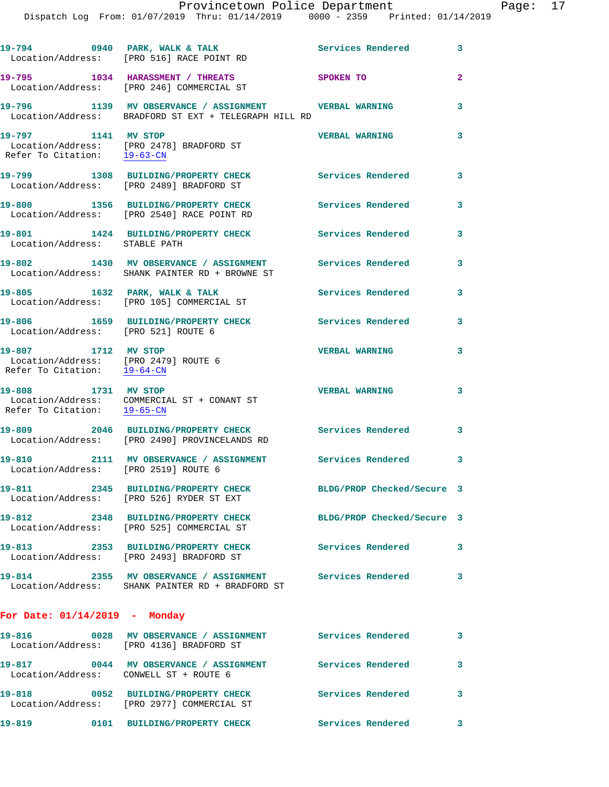|                                                                                              | 19-794 0940 PARK, WALK & TALK<br>Location/Address: [PRO 516] RACE POINT RD                                                    | Services Rendered          | 3              |
|----------------------------------------------------------------------------------------------|-------------------------------------------------------------------------------------------------------------------------------|----------------------------|----------------|
|                                                                                              | 19-795 1034 HARASSMENT / THREATS<br>Location/Address: [PRO 246] COMMERCIAL ST                                                 | SPOKEN TO                  | $\overline{2}$ |
|                                                                                              | 19-796      1139   MV OBSERVANCE / ASSIGNMENT       VERBAL WARNING<br>Location/Address:   BRADFORD ST EXT + TELEGRAPH HILL RD |                            | 3              |
| 19-797 1141 MV STOP<br>Refer To Citation: 19-63-CN                                           | Location/Address: [PRO 2478] BRADFORD ST                                                                                      | <b>VERBAL WARNING</b>      | 3              |
|                                                                                              | 19-799 1308 BUILDING/PROPERTY CHECK<br>Location/Address: [PRO 2489] BRADFORD ST                                               | Services Rendered          | 3              |
|                                                                                              | 19-800 1356 BUILDING/PROPERTY CHECK<br>Location/Address: [PRO 2540] RACE POINT RD                                             | <b>Services Rendered</b>   | 3              |
| Location/Address: STABLE PATH                                                                | 19-801 1424 BUILDING/PROPERTY CHECK                                                                                           | Services Rendered          | 3              |
|                                                                                              | 19-802 1430 MV OBSERVANCE / ASSIGNMENT Services Rendered<br>Location/Address: SHANK PAINTER RD + BROWNE ST                    |                            | 3              |
| 19-805 1632 PARK, WALK & TALK                                                                | Location/Address: [PRO 105] COMMERCIAL ST                                                                                     | <b>Services Rendered</b>   | 3              |
| Location/Address: [PRO 521] ROUTE 6                                                          | 19-806 1659 BUILDING/PROPERTY CHECK                                                                                           | Services Rendered          | 3              |
| 19-807 1712 MV STOP<br>Location/Address: [PRO 2479] ROUTE 6<br>Refer To Citation: $19-64-CN$ |                                                                                                                               | <b>VERBAL WARNING</b>      | 3              |
| 19-808 1731 MV STOP<br>Refer To Citation: 19-65-CN                                           | Location/Address: COMMERCIAL ST + CONANT ST                                                                                   | <b>VERBAL WARNING</b>      | 3              |
|                                                                                              | 19-809 2046 BUILDING/PROPERTY CHECK Services Rendered<br>Location/Address: [PRO 2490] PROVINCELANDS RD                        |                            | 3              |
| Location/Address: [PRO 2519] ROUTE 6                                                         | 19-810 2111 MV OBSERVANCE / ASSIGNMENT Services Rendered                                                                      |                            | 3              |
| 19-811                                                                                       | 2345 BUILDING/PROPERTY CHECK<br>Location/Address: [PRO 526] RYDER ST EXT                                                      | BLDG/PROP Checked/Secure 3 |                |
|                                                                                              | 19-812 2348 BUILDING/PROPERTY CHECK<br>Location/Address: [PRO 525] COMMERCIAL ST                                              | BLDG/PROP Checked/Secure 3 |                |
|                                                                                              | 19-813 2353 BUILDING/PROPERTY CHECK<br>Location/Address: [PRO 2493] BRADFORD ST                                               | <b>Services Rendered</b>   | 3              |
| 19-814                                                                                       | 2355 MV OBSERVANCE / ASSIGNMENT Services Rendered<br>Location/Address: SHANK PAINTER RD + BRADFORD ST                         |                            | 3              |
| For Date: $01/14/2019$ - Monday                                                              |                                                                                                                               |                            |                |
|                                                                                              | 19-816  0028 MV OBSERVANCE / ASSIGNMENT Services Rendered<br>Location/Address: [PRO 4136] BRADFORD ST                         |                            | 3              |
| Location/Address: CONWELL ST + ROUTE 6                                                       | 19-817 0044 MV OBSERVANCE / ASSIGNMENT                                                                                        | <b>Services Rendered</b>   | 3              |
| 19-818                                                                                       | 0052 BUILDING/PROPERTY CHECK<br>Location/Address: [PRO 2977] COMMERCIAL ST                                                    | <b>Services Rendered</b>   | 3              |

**19-819 0101 BUILDING/PROPERTY CHECK Services Rendered 3**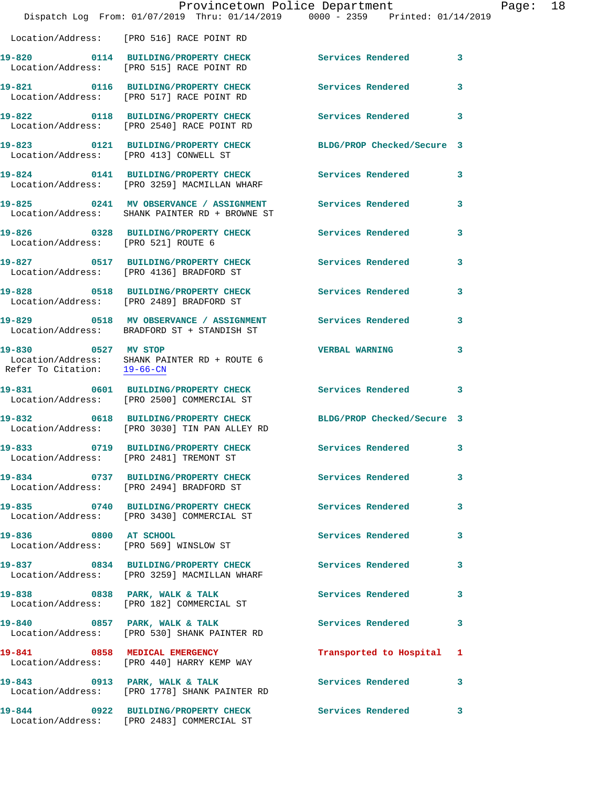|                                                    | Provincetown Police Department                                                                                  |                            |   |
|----------------------------------------------------|-----------------------------------------------------------------------------------------------------------------|----------------------------|---|
|                                                    | Dispatch Log From: 01/07/2019 Thru: 01/14/2019 0000 - 2359 Printed: 01/14/2019                                  |                            |   |
|                                                    | Location/Address: [PRO 516] RACE POINT RD                                                                       |                            |   |
|                                                    | 19-820 0114 BUILDING/PROPERTY CHECK<br>Location/Address: [PRO 515] RACE POINT RD                                | Services Rendered          | 3 |
|                                                    | 19-821 0116 BUILDING/PROPERTY CHECK<br>Location/Address: [PRO 517] RACE POINT RD                                | Services Rendered          | 3 |
|                                                    | 19-822 0118 BUILDING/PROPERTY CHECK<br>Location/Address: [PRO 2540] RACE POINT RD                               | <b>Services Rendered</b>   | 3 |
| Location/Address: [PRO 413] CONWELL ST             | 19-823 0121 BUILDING/PROPERTY CHECK                                                                             | BLDG/PROP Checked/Secure 3 |   |
|                                                    | 19-824 0141 BUILDING/PROPERTY CHECK<br>Location/Address: [PRO 3259] MACMILLAN WHARF                             | <b>Services Rendered</b>   | 3 |
|                                                    | 19-825 0241 MV OBSERVANCE / ASSIGNMENT Services Rendered<br>Location/Address: SHANK PAINTER RD + BROWNE ST      |                            | 3 |
| Location/Address: [PRO 521] ROUTE 6                | 19-826 0328 BUILDING/PROPERTY CHECK                                                                             | Services Rendered          | 3 |
|                                                    | 19-827 0517 BUILDING/PROPERTY CHECK Services Rendered<br>Location/Address: [PRO 4136] BRADFORD ST               |                            | 3 |
|                                                    | 19-828 0518 BUILDING/PROPERTY CHECK<br>Location/Address: [PRO 2489] BRADFORD ST                                 | <b>Services Rendered</b>   | 3 |
|                                                    | 19-829 0518 MV OBSERVANCE / ASSIGNMENT Services Rendered<br>Location/Address: BRADFORD ST + STANDISH ST         |                            | 3 |
| 19-830 0527 MV STOP<br>Refer To Citation: 19-66-CN | Location/Address: SHANK PAINTER RD + ROUTE 6                                                                    | <b>VERBAL WARNING</b>      | 3 |
|                                                    | 19-831 0601 BUILDING/PROPERTY CHECK Services Rendered<br>Location/Address: [PRO 2500] COMMERCIAL ST             |                            | 3 |
|                                                    | 19-832 0618 BUILDING/PROPERTY CHECK BLDG/PROP Checked/Secure 3<br>Location/Address: [PRO 3030] TIN PAN ALLEY RD |                            |   |
|                                                    | 19-833 0719 BUILDING/PROPERTY CHECK Services Rendered<br>Location/Address: [PRO 2481] TREMONT ST                |                            | 3 |
|                                                    | 19-834 0737 BUILDING/PROPERTY CHECK<br>Location/Address: [PRO 2494] BRADFORD ST                                 | <b>Services Rendered</b>   | 3 |
|                                                    | 19-835 0740 BUILDING/PROPERTY CHECK Services Rendered<br>Location/Address: [PRO 3430] COMMERCIAL ST             |                            | 3 |
| 19-836 0800 AT SCHOOL                              | Location/Address: [PRO 569] WINSLOW ST                                                                          | Services Rendered          | 3 |
|                                                    | 19-837 0834 BUILDING/PROPERTY CHECK<br>Location/Address: [PRO 3259] MACMILLAN WHARF                             | Services Rendered          | 3 |
|                                                    | 19-838 0838 PARK, WALK & TALK<br>Location/Address: [PRO 182] COMMERCIAL ST                                      | Services Rendered          | 3 |
| 19-840 0857 PARK, WALK & TALK                      | Location/Address: [PRO 530] SHANK PAINTER RD                                                                    | <b>Services Rendered</b>   | 3 |
|                                                    | 19-841 0858 MEDICAL EMERGENCY<br>Location/Address: [PRO 440] HARRY KEMP WAY                                     | Transported to Hospital    | 1 |
|                                                    | 19-843 0913 PARK, WALK & TALK<br>Location/Address: [PRO 1778] SHANK PAINTER RD                                  | <b>Services Rendered</b>   | 3 |
| 19-844                                             | 0922 BUILDING/PROPERTY CHECK Services Rendered                                                                  |                            | 3 |

Location/Address: [PRO 2483] COMMERCIAL ST